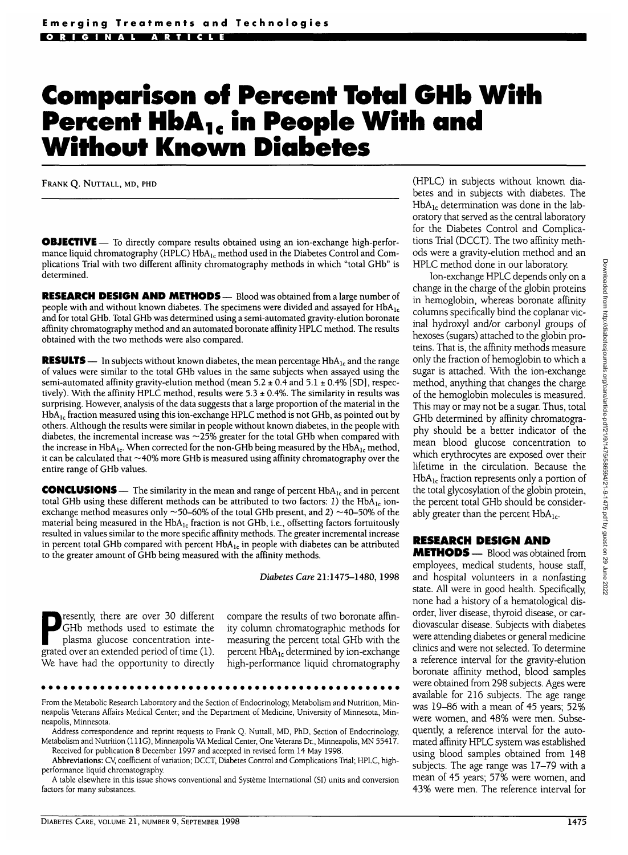## **Comparison of Percent Total GHb With** Percent HbA<sub>1c</sub> in People With and **Without Known Diabetes**

FRANK Q. NUTTALL, MD, PHD

**OBJECTIVE** — To directly compare results obtained using an ion-exchange high-performance liquid chromatography (HPLC)  $HbA_1$  method used in the Diabetes Control and Complications Trial with two different affinity chromatography methods in which "total GHb" is determined.

**RESEARCH DESIGN AND METHODS** — Blood was obtained from a large number of people with and without known diabetes. The specimens were divided and assayed for  $HbA_{1c}$ and for total GHb. Total GHb was determined using a semi-automated gravity-elution boronate affinity chromatography method and an automated boronate affinity HPLC method. The results obtained with the two methods were also compared.

**RESULTS** — In subjects without known diabetes, the mean percentage HbA<sub>1c</sub> and the range of values were similar to the total GHb values in the same subjects when assayed using the semi-automated affinity gravity-elution method (mean  $5.2 \pm 0.4$  and  $5.1 \pm 0.4\%$  [SD], respectively). With the affinity HPLC method, results were  $5.3 \pm 0.4\%$ . The similarity in results was surprising. However, analysis of the data suggests that a large proportion of the material in the  $HbA<sub>1c</sub>$  fraction measured using this ion-exchange HPLC method is not GHb, as pointed out by others. Although the results were similar in people without known diabetes, in die people with diabetes, the incremental increase was  $\sim$ 25% greater for the total GHb when compared with the increase in  $HbA_1$ . When corrected for the non-GHb being measured by the  $HbA_1$  method, it can be calculated that  $\sim$ 40% more GHb is measured using affinity chromatography over the entire range of GHb values.

**CONCLUSIONS** — The similarity in the mean and range of percent HbA<sub>1c</sub> and in percent total GHb using these different methods can be attributed to two factors: 1) the HbA<sub>1c</sub> ionexchange method measures only  $\sim$  50–60% of the total GHb present, and 2)  $\sim$  40–50% of the material being measured in the  $HbA_{1c}$  fraction is not GHb, i.e., offsetting factors fortuitously resulted in values similar to the more specific affinity methods. The greater incremental increase in percent total GHb compared with percent  $HbA_{1c}$  in people with diabetes can be attributed to the greater amount of GHb being measured with the affinity methods.

*Diabetes Care* 21:1475-1480, 1998

**Presently, there are over 30 different**<br>GHb methods used to estimate the<br>plasma glucose concentration inte-<br>grated over an extended period of time (1) GHb methods used to estimate the plasma glucose concentration integrated over an extended period of time (1). We have had the opportunity to directly compare the results of two boronate affinity column chromatographic methods for measuring the percent total GHb with the percent  $HbA_{1c}$  determined by ion-exchange high-performance liquid chromatography

(HPLC) in subjects without known diabetes and in subjects with diabetes. The  $HbA_{1c}$  determination was done in the laboratory that served as the central laboratory for the Diabetes Control and Complications Trial (DCCT). The two affinity methods were a gravity-elution method and an HPLC method done in our laboratory.

Ion-exchange HPLC depends only on a change in the charge of the globin proteins in hemoglobin, whereas boronate affinity columns specifically bind the coplanar vicinal hydroxyl and/or carbonyl groups of hexoses (sugars) attached to the globin proteins. That is, the affinity methods measure only the fraction of hemoglobin to which a sugar is attached. With the ion-exchange method, anything that changes the charge of the hemoglobin molecules is measured. This may or may not be a sugar. Thus, total GHb determined by affinity chromatography should be a better indicator of the mean blood glucose concentration to which erythrocytes are exposed over their lifetime in the circulation. Because the  $HbA_{1c}$  fraction represents only a portion of the total glycosylation of the globin protein, the percent total GHb should be considerably greater than the percent  $HbA_{1c}$ .

## **RESEARCH DESIGN AND**

**METHODS — Blood was obtained from** employees, medical students, house staff, and hospital volunteers in a nonfasting state. All were in good health. Specifically, none had a history of a hematological disorder, liver disease, thyroid disease, or cardiovascular disease. Subjects with diabetes were attending diabetes or general medicine clinics and were not selected. To determine a reference interval for the gravity-elution boronate affinity method, blood samples were obtained from 298 subjects. Ages were available for 216 subjects. The age range was 19-86 with a mean of 45 years; 52% were women, and 48% were men. Subsequently, a reference interval for the automated affinity HPLC system was established using blood samples obtained from 148 subjects. The age range was 17-79 with a mean of 45 years; 57% were women, and 43% were men. The reference interval for

From the Metabolic Research Laboratory and the Section of Endocrinology, Metabolism and Nutrition, Minneapolis Veterans Affairs Medical Center; and the Department of Medicine, University of Minnesota, Minneapolis, Minnesota.

Address correspondence and reprint requests to Frank Q. Nuttall, MD, PhD, Section of Endocrinology, Metabolism and Nutrition (111G), Minneapolis VA Medical Center, One Veterans Dr., Minneapolis, MN 55417. Received for publication 8 December 1997 and accepted in revised form 14 May 1998.

**Abbreviations:** CV, coefficient of variation; DCCT, Diabetes Control and Complications Trial; HPLC, highperformance liquid chromatography.

A table elsewhere in this issue shows conventional and Systeme International (SI) units and conversion factors for many substances.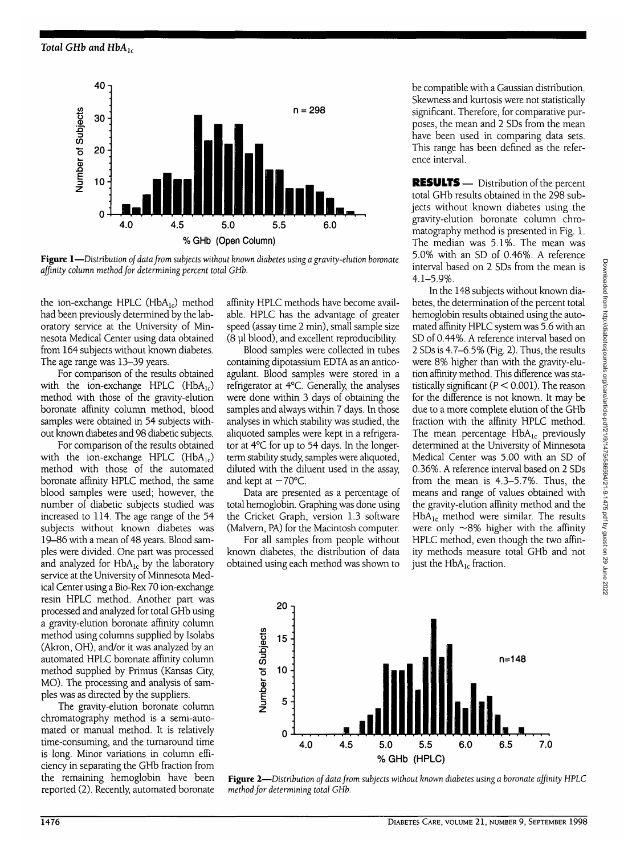

**Figure 1**—*Distribution of data from subjects without known diabetes using a gravity-elution boronate affinity column method for determining percent total GHb.*

the ion-exchange HPLC (HbA<sub>lc</sub>) method had been previously determined by the laboratory service at the University of Minnesota Medical Center using data obtained from 164 subjects without known diabetes. The age range was 13-39 years.

For comparison of the results obtained with the ion-exchange HPLC  $(HbA_{1c})$ method with those of the gravity-elution boronate affinity column method, blood samples were obtained in 54 subjects without known diabetes and 98 diabetic subjects.

For comparison of the results obtained with the ion-exchange HPLC  $(HbA_{1c})$ method with those of the automated boronate affinity HPLC method, the same blood samples were used; however, the number of diabetic subjects studied was increased to 114. The age range of the 54 subjects without known diabetes was 19-86 with a mean of 48 years. Blood samples were divided. One part was processed and analyzed for  $HbA_{1c}$  by the laboratory service at the University of Minnesota Medical Center using a Bio-Rex 70 ion-exchange resin HPLC method. Another part was processed and analyzed for total GHb using a gravity-elution boronate affinity column method using columns supplied by Isolabs (Akron, OH), and/or it was analyzed by an automated HPLC boronate affinity column method supplied by Primus (Kansas City, MO). The processing and analysis of samples was as directed by the suppliers.

The gravity-elution boronate column chromatography method is a semi-automated or manual method. It is relatively time-consuming, and the turnaround time is long. Minor variations in column efficiency in separating the GHb fraction from the remaining hemoglobin have been reported (2). Recently, automated boronate affinity HPLC methods have become available. HPLC has the advantage of greater speed (assay time 2 min), small sample size (8 pi blood), and excellent reproducibility.

Blood samples were collected in tubes containing dipotassium EDTA as an anticoagulant. Blood samples were stored in a refrigerator at 4°C. Generally, the analyses were done within 3 days of obtaining the samples and always within 7 days. In those analyses in which stability was studied, the aliquoted samples were kept in a refrigerator at 4°C for up to 54 days. In the longerterm stability study, samples were aliquoted, diluted with the diluent used in the assay, and kept at  $-70^{\circ}$ C.

Data are presented as a percentage of total hemoglobin. Graphing was done using the Cricket Graph, version 1.3 software (Malvern, PA) for the Macintosh computer.

For all samples from people without known diabetes, the distribution of data obtained using each method was shown to

be compatible with a Gaussian distribution. Skewness and kurtosis were not statistically significant. Therefore, for comparative purposes, the mean and 2 SDs from the mean have been used in comparing data sets. This range has been defined as the reference interval.

RESULTS — Distribution of the percent total GHb results obtained in the 298 subjects without known diabetes using the gravity-elution boronate column chromatography method is presented in Fig. 1. The median was 5.1%. The mean was 5.0% with an SD of 0.46%. A reference interval based on 2 SDs from the mean is 4.1-5.9%.

In the 148 subjects without known diabetes, the determination of the percent total hemoglobin results obtained using the automated affinity HPLC system was 5.6 with an SD of 0.44%. A reference interval based on 2 SDs is 4.7-6.5% (Fig. 2). Thus, the results were 8% higher than with the gravity-elution affinity method. This difference was statistically significant ( $P < 0.001$ ). The reason for the difference is not known. It may be due to a more complete elution of the GHb fraction with the affinity HPLC method. The mean percentage  $HbA_{1c}$  previously determined at the University of Minnesota Medical Center was 5.00 with an SD of 0.36%. A reference interval based on 2 SDs from the mean is 4.3-5.7%. Thus, the means and range of values obtained with the gravity-elution affinity method and the  $HbA_{1c}$  method were similar. The results were only ~8% higher with the affinity HPLC method, even though the two affinity methods measure total GHb and not just the  $HbA_{1c}$  fraction.



**Figure 2**—*Distribution of data from subjects without known diabetes using a boronate affinity HPLC method for determining total GHb.*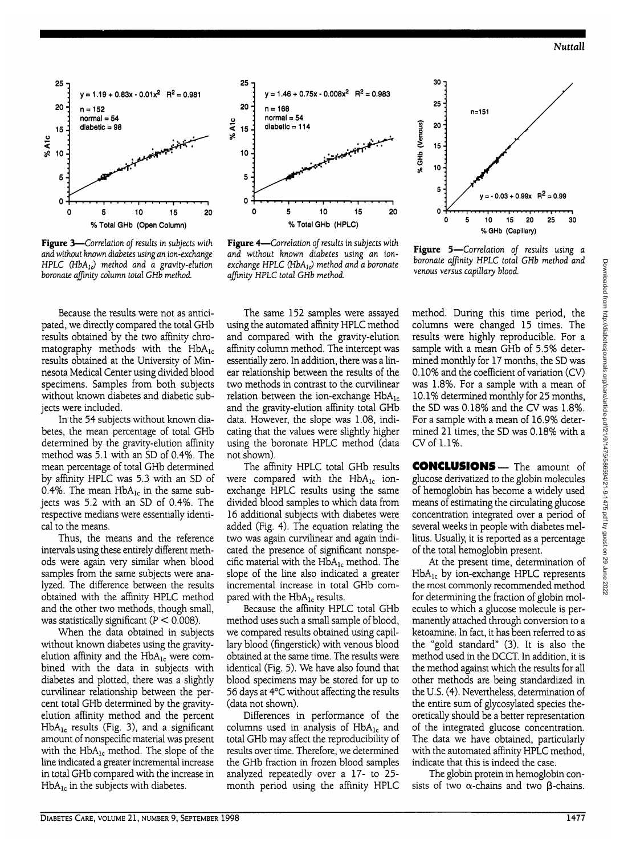

**Figure 3**—*Correlation oj results in subjects with and without known diabetes using an ion-exchange HPLC* (*HbA<sub>1</sub>*) method and a gravity-elution *boronate affinity column total GHb method.*

Because the results were not as anticipated, we directly compared the total GHb results obtained by the two affinity chromatography methods with the  $HbA_{1c}$ results obtained at the University of Minnesota Medical Center using divided blood specimens. Samples from both subjects without known diabetes and diabetic subjects were included.

In the 54 subjects without known diabetes, the mean percentage of total GHb determined by the gravity-elution affinity method was 5.1 with an SD of 0.4%. The mean percentage of total GHb determined by affinity HPLC was 5.3 with an SD of 0.4%. The mean  $HbA_{1c}$  in the same subjects was 5.2 with an SD of 0.4%. The respective medians were essentially identical to the means.

Thus, the means and the reference intervals using these entirely different methods were again very similar when blood samples from the same subjects were analyzed. The difference between the results obtained with the affinity HPLC method and the other two methods, though small, was statistically significant ( $P < 0.008$ ).

When the data obtained in subjects without known diabetes using the gravityelution affinity and the  $HbA_{1c}$  were combined with the data in subjects with diabetes and plotted, there was a slightly curvilinear relationship between the percent total GHb determined by the gravityelution affinity method and the percent  $HbA_{1c}$  results (Fig. 3), and a significant amount of nonspecific material was present with the  $HbA_{1c}$  method. The slope of the line indicated a greater incremental increase in total GHb compared with the increase in  $HbA_{1c}$  in the subjects with diabetes.



**Figure 4**—*Correlation of results in subjects with and without known diabetes using an ionexchange HPLC (HbA<sub>1c</sub>) method and a boronate affinity HPLC total GHb method.*

The same 152 samples were assayed using the automated affinity HPLC method and compared with the gravity-elution affinity column method. The intercept was essentially zero. In addition, there was a linear relationship between the results of the two methods in contrast to the curvilinear relation between the ion-exchange  $HbA_{1c}$ and the gravity-elution affinity total GHb data. However, the slope was 1.08, indicating that the values were slightly higher using the boronate HPLC method (data not shown).

The affinity HPLC total GHb results were compared with the  $HbA_{1c}$  ionexchange HPLC results using the same divided blood samples to which data from 16 additional subjects with diabetes were added (Fig. 4). The equation relating the two was again curvilinear and again indicated the presence of significant nonspecific material with the  $HbA_{1c}$  method. The slope of the line also indicated a greater incremental increase in total GHb compared with the  $HbA_{1c}$  results.

Because the affinity HPLC total GHb method uses such a small sample of blood, we compared results obtained using capillary blood (fingerstick) with venous blood obtained at the same time. The results were identical (Fig. 5). We have also found that blood specimens may be stored for up to 56 days at 4°C without affecting the results (data not shown).

Differences in performance of the columns used in analysis of  $HbA_{1c}$  and total GHb may affect the reproducibility of results over time. Therefore, we determined the GHb fraction in frozen blood samples analyzed repeatedly over a 17- to 25 month period using the affinity HPLC

method. During this time period, the columns were changed 15 times. The results were highly reproducible. For a sample with a mean GHb of 5.5% determined monthly for 17 months, the SD was 0.10% and the coefficient of variation (CV) was 1.8%. For a sample with a mean of 10.1% determined monthly for 25 months, the SD was 0.18% and the CV was 1.8%. For a sample with a mean of 16.9% determined 21 times, the SD was 0.18% with a CV of 1.1%.

 $y = -0.03 + 0.99x$  R<sup>2</sup> = 0.99

**25 30**

**10 15 20 %GHb (Capillary)**

**Figure 5**—*Correlation of results using a boronate affinity HPLC total GHb method and*

*venous versus capillary blood.*

5

**30-i 25-**

**20" is-** **n=151**

le-

5

O

% GHb (Venous)

CONCLUSIONS—The amount of glucose derivatized to the globin molecules of hemoglobin has become a widely used means of estimating the circulating glucose concentration integrated over a period of several weeks in people with diabetes mellitus. Usually, it is reported as a percentage of the total hemoglobin present.

At the present time, determination of  $HbA_{1c}$  by ion-exchange HPLC represents the most commonly recommended method for determining the fraction of globin molecules to which a glucose molecule is permanently attached through conversion to a ketoamine. In fact, it has been referred to as the "gold standard" (3). It is also the method used in the DCCT. In addition, it is the method against which the results for all other methods are being standardized in the U.S. (4). Nevertheless, determination of the entire sum of glycosylated species theoretically should be a better representation of the integrated glucose concentration. The data we have obtained, particularly with the automated affinity HPLC method, indicate that this is indeed the case.

The globin protein in hemoglobin consists of two  $\alpha$ -chains and two  $\beta$ -chains.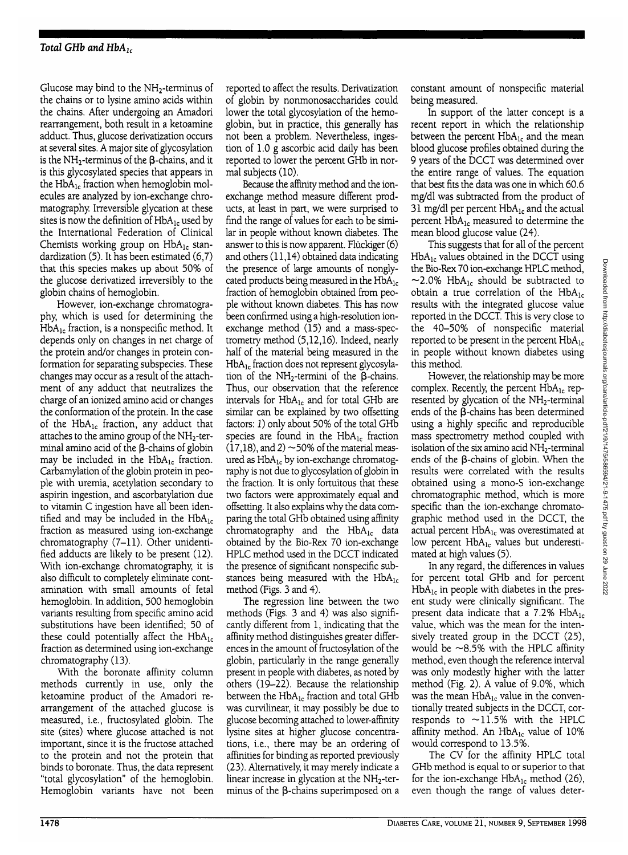Glucose may bind to the  $NH<sub>2</sub>$ -terminus of the chains or to lysine amino acids within the chains. After undergoing an Amadori rearrangement, both result in a ketoamine adduct. Thus, glucose derivatization occurs at several sites. A major site of glycosylation is the  $NH_2$ -terminus of the  $\beta$ -chains, and it is this glycosylated species that appears in the  $HbA_{1c}$  fraction when hemoglobin molecules are analyzed by ion-exchange chromatography. Irreversible glycation at these sites is now the definition of  $HbA_{1c}$  used by the International Federation of Clinical Chemists working group on  $HbA_{1c}$  standardization (5). It has been estimated (6,7) that this species makes up about 50% of the glucose derivatized irreversibly to the globin chains of hemoglobin.

However, ion-exchange chromatography, which is used for determining the  $HbA_{1c}$  fraction, is a nonspecific method. It depends only on changes in net charge of the protein and/or changes in protein conformation for separating subspecies. These changes may occur as a result of the attachment of any adduct that neutralizes the charge of an ionized amino acid or changes the conformation of the protein. In the case of the  $HbA_{1c}$  fraction, any adduct that attaches to the amino group of the NH2-terminal amino acid of the  $\beta$ -chains of globin may be included in the  $HbA_{1c}$  fraction. Carbamylation of the globin protein in people with uremia, acetylation secondary to aspirin ingestion, and ascorbatylation due to vitamin C ingestion have all been identified and may be included in the  $HbA_{1c}$ fraction as measured using ion-exchange chromatography (7-11). Other unidentified adducts are likely to be present (12). With ion-exchange chromatography, it is also difficult to completely eliminate contamination with small amounts of fetal hemoglobin. In addition, 500 hemoglobin variants resulting from specific amino acid substitutions have been identified; 50 of these could potentially affect the  $HbA_{1c}$ fraction as determined using ion-exchange chromatography (13).

With the boronate affinity column methods currently in use, only the ketoamine product of the Amadori rearrangement of the attached glucose is measured, i.e., fructosylated globin. The site (sites) where glucose attached is not important, since it is the fructose attached to the protein and not the protein that binds to boronate. Thus, the data represent "total glycosylation" of the hemoglobin. Hemoglobin variants have not been

reported to affect the results. Derivatization of globin by nonmonosaccharides could lower the total glycosylation of the hemoglobin, but in practice, this generally has not been a problem. Nevertheless, ingestion of 1.0 g ascorbic acid daily has been reported to lower the percent GHb in normal subjects (10).

Because the affinity method and the ionexchange method measure different products, at least in part, we were surprised to find the range of values for each to be similar in people without known diabetes. The answer to this is now apparent. Fluckiger (6) and others (11,14) obtained data indicating the presence of large amounts of nonglycated products being measured in the  $HbA_{1c}$ fraction of hemoglobin obtained from people without known diabetes. This has now been confirmed using a high-resolution ionexchange method (15) and a mass-spectrometry method (5,12,16). Indeed, nearly half of the material being measured in the  $HbA_{1c}$  fraction does not represent glycosylation of the  $NH<sub>2</sub>$ -termini of the  $\beta$ -chains. Thus, our observation that the reference intervals for  $HbA_{1c}$  and for total GHb are similar can be explained by two offsetting factors: 1) only about 50% of the total GHb species are found in the  $HbA_{1c}$  fraction  $(17,18)$ , and 2)  $\sim$  50% of the material measured as  $HbA_{1c}$  by ion-exchange chromatography is not due to glycosylation of globin in the fraction. It is only fortuitous that these two factors were approximately equal and offsetting. It also explains why the data comparing the total GHb obtained using affinity chromatography and the  $HbA_{1c}$  data obtained by the Bio-Rex 70 ion-exchange HPLC method used in the DCCT indicated the presence of significant nonspecific substances being measured with the  $HbA_{1c}$ method (Figs. 3 and 4).

The regression line between the two methods (Figs. 3 and 4) was also significantly different from 1, indicating that the affinity method distinguishes greater differences in the amount of fructosylation of the globin, particularly in the range generally present in people with diabetes, as noted by others (19-22). Because the relationship between the  $HbA_{1c}$  fraction and total GHb was curvilinear, it may possibly be due to glucose becoming attached to lower-affinity lysine sites at higher glucose concentrations, i.e., there may be an ordering of affinities for binding as reported previously (23). Alternatively, it may merely indicate a linear increase in glycation at the  $NH<sub>2</sub>$ -terminus of the  $\beta$ -chains superimposed on a

constant amount of nonspecific material being measured.

In support of the latter concept is a recent report in which the relationship between the percent  $HbA_{1c}$  and the mean blood glucose profiles obtained during the 9 years of the DCCT was determined over the entire range of values. The equation that best fits the data was one in which 60.6 mg/dl was subtracted from the product of 31 mg/dl per percent  $HbA_{1c}$  and the actual percent HbA<sub>1c</sub> measured to determine the mean blood glucose value (24).

This suggests that for all of the percent  $HbA_{1c}$  values obtained in the DCCT using the Bio-Rex 70 ion-exchange HPLC method,  $\sim$ 2.0% HbA<sub>1c</sub> should be subtracted to obtain a true correlation of the  $HbA_{1c}$ results with the integrated glucose value reported in the DCCT. This is very close to the 40-50% of nonspecific material reported to be present in the percent  $HbA_{1c}$ in people without known diabetes using this method.

However, the relationship may be more complex. Recently, the percent  $HbA_{1c}$  represented by glycation of the  $NH<sub>2</sub>$ -terminal ends of the  $\beta$ -chains has been determined using a highly specific and reproducible mass spectrometry method coupled with isolation of the six amino acid NH<sub>2</sub>-terminal ends of the  $\beta$ -chains of globin. When the results were correlated with the results obtained using a mono-S ion-exchange chromatographic method, which is more specific than the ion-exchange chromatographic method used in the DCCT, the actual percent HbA<sub>lc</sub> was overestimated at low percent HbA<sub>1c</sub> values but underestimated at high values (5).

In any regard, the differences in values for percent total GHb and for percent  $HbA_{1c}$  in people with diabetes in the present study were clinically significant. The present data indicate that a 7.2% HbA<sub>lc</sub> value, which was the mean for the intensively treated group in the DCCT (25), would be  $\sim$ 8.5% with the HPLC affinity method, even though the reference interval was only modestly higher with the latter method (Fig. 2). A value of 9.0%, which was the mean  $HbA_{1c}$  value in the conventionally treated subjects in the DCCT, corresponds to  $\sim$ 11.5% with the HPLC affinity method. An  $HbA_{1c}$  value of  $10\%$ would correspond to 13.5%.

The CV for the affinity HPLC total GHb method is equal to or superior to that for the ion-exchange  $HbA_{1c}$  method (26), even though the range of values deter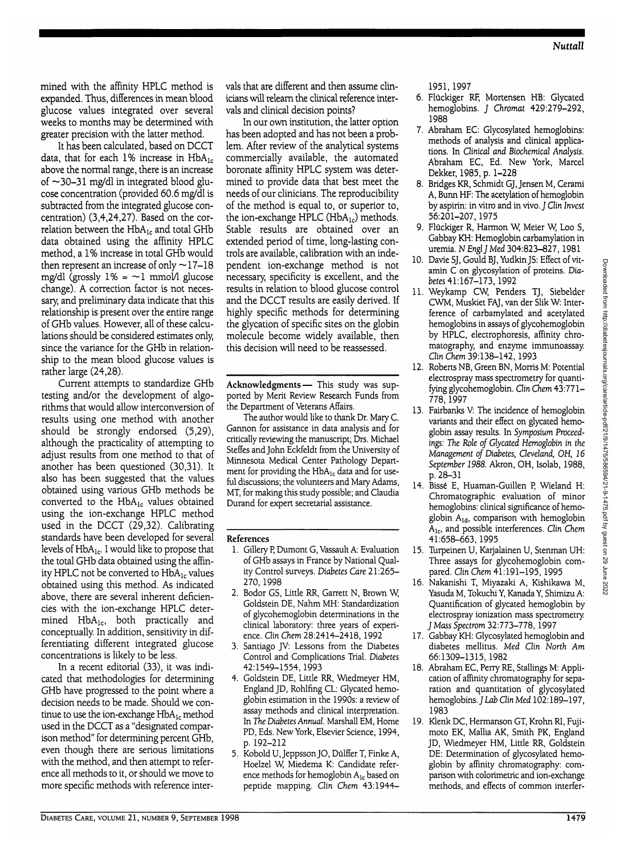mined with the affinity HPLC method is expanded. Thus, differences in mean blood glucose values integrated over several weeks to months may be determined with greater precision with the latter method.

It has been calculated, based on DCCT data, that for each 1% increase in  $HbA_{1c}$ above the normal range, there is an increase of  $\sim$ 30–31 mg/dl in integrated blood glucose concentration (provided 60.6 mg/dl is subtracted from the integrated glucose concentration) (3,4,24,27). Based on the correlation between the  $HbA_{1c}$  and total GHb data obtained using the affinity HPLC method, a 1% increase in total GHb would then represent an increase of only  $\sim$ 17–18 mg/dl (grossly  $1\% = -1$  mmol/1 glucose change). A correction factor is not necessary, and preliminary data indicate that this relationship is present over the entire range of GHb values. However, all of these calculations should be considered estimates only, since the variance for the GHb in relationship to the mean blood glucose values is rather large (24,28).

Current attempts to standardize GHb testing and/or the development of algorithms that would allow interconversion of results using one method with another should be strongly endorsed (5,29), although the practicality of attempting to adjust results from one method to that of another has been questioned (30,31). It also has been suggested that the values obtained using various GHb methods be converted to the  $HbA_{1c}$  values obtained using the ion-exchange HPLC method used in the DCCT (29,32). Calibrating standards have been developed for several levels of  $HbA_{1c}$ . I would like to propose that the total GHb data obtained using the affinity HPLC not be converted to  $HbA_{1c}$  values obtained using this method. As indicated above, there are several inherent deficiencies with the ion-exchange HPLC determined HbA<sub>1c</sub>, both practically and conceptually. In addition, sensitivity in differentiating different integrated glucose concentrations is likely to be less.

In a recent editorial (33), it was indicated that methodologies for determining GHb have progressed to the point where a decision needs to be made. Should we continue to use the ion-exchange  $HbA_{1c}$  method used in the DCCT as a "designated comparison method" for determining percent GHb, even though there are serious limitations with the method, and then attempt to reference all methods to it, or should we move to more specific methods with reference intervals that are different and then assume clinicians will relearn the clinical reference intervals and clinical decision points?

In our own institution, the latter option has been adopted and has not been a problem. After review of the analytical systems commercially available, the automated boronate affinity HPLC system was determined to provide data that best meet the needs of our clinicians. The reproducibility of the method is equal to, or superior to, the ion-exchange HPLC ( $HbA_{1c}$ ) methods. Stable results are obtained over an extended period of time, long-lasting controls are available, calibration with an independent ion-exchange method is not necessary, specificity is excellent, and the results in relation to blood glucose control and the DCCT results are easily derived. If highly specific methods for determining the glycation of specific sites on the globin molecule become widely available, then this decision will need to be reassessed.

**Acknowledgments**— This study was supported by Merit Review Research Funds from the Department of Veterans Affairs.

The author would like to thank Dr. Mary C. Gannon for assistance in data analysis and for critically reviewing the manuscript; Drs. Michael Steffes and John Eckfeldt from the University of Minnesota Medical Center Pathology Department for providing the HbA<sub>1c</sub> data and for useful discussions; the volunteers and Mary Adams, MT, for making this study possible; and Claudia Durand for expert secretarial assistance.

## **References**

- 1. Gillery P, Dumont G, Vassault A: Evaluation of GHb assays in France by National Quality Control surveys. *Diabetes Care* 21:265- 270,1998
- 2. Bodor GS, Little RR, Garrett N, Brown W, Goldstein DE, Nahm MH: Standardization of glycohemoglobin determinations in the clinical laboratory: three years of experience. *Clin Chem* 28:2414-2418,1992
- 3. Santiago JV: Lessons from the Diabetes Control and Complications Trial. *Diabetes* 42:1549-1554, 1993
- 4. Goldstein DE, Little RR, Wiedmeyer HM, England JD, Rohlfmg CL: Glycated hemoglobin estimation in the 1990s: a review of assay methods and clinical interpretation. In *The Diabetes Annual.* Marshall EM, Home PD, Eds. New York, Elsevier Science, 1994, p. 192-212
- 5. Kobold U,JeppssonJO, Dulffer T, Finke A, Hoelzel W, Miedema K: Candidate reference methods for hemoglobin  $A_{1c}$  based on peptide mapping. *Clin Chem* 43:1944-

1951,1997

- 6. Fluckiger RF, Mortensen HB: Glycated hemoglobins. *J Chromat* 429:279-292, 1988
- 7. Abraham EC: Glycosylated hemoglobins: methods of analysis and clinical applications. In *Clinical and Biochemical Analysis.* Abraham EC, Ed. New York, Marcel Dekker, 1985, p. 1-228
- 8. Bridges KR, Schmidt GJ,Jensen M, Cerami A, Bunn HF: The acetylation of hemoglobin by aspirin: in vitro and in vivo. J Clin *Invest* 56:201-207,1975
- 9. Fluckiger R, Harmon W, Meier W, Loo S, Gabbay KH: Hemoglobin carbamylation in uremia. *NEnglJMed* 304:823-827,1981
- 10. Davie SJ, Gould BJ, Yudkin JS: Effect of vitamin C on glycosylation of proteins. *Diabetes* 41:167-173,1992
- 11. Weykamp CW, Penders TJ, Siebelder CWM, Muskiet FAJ, van der Slik W: Interference of carbamylated and acetylated hemoglobins in assays of glycohemoglobin by HPLC, electrophoresis, affinity chromatography, and enzyme immunoassay. *Qin Chem* 39:138-142,1993
- 12. Roberts NB, Green BN, Morris M: Potential electrospray mass spectrometry for quantifying glycohemoglobin. *Clin Chem* 43:771- 778,1997
- 13. Fairbanks V: The incidence of hemoglobin variants and their effect on glycated hemoglobin assay results. In *Symposium Proceedings: The Role of Glycated Hemoglobin in the Management of Diabetes, Cleveland, OH, 16 September 1988.* Akron, OH, Isolab, 1988, p. 28-31
- 14. Bisse E, Huaman-Guillen R Wieland H: Chromatographic evaluation of minor hemoglobins: clinical significance of hemoglobin  $A_{1d}$ , comparison with hemoglobin Alc, and possible interferences. Clin *Chem* 41:658-663, 1995
- 15. Turpeinen U, Karjalainen U, Stenman UH: Three assays for glycohemoglobin compared. Clin *Chem* 41:191-195,1995
- 16. Nakanishi T, Miyazaki A, Kishikawa M, Yasuda M, Tokuchi Y, Kanada Y, Shimizu A: Quantification of glycated hemoglobin by electrospray ionization mass spectrometry. *f Mass Spectrom 32:773-778,* 1997
- 17. Gabbay KH: Glycosylated hemoglobin and diabetes mellitus. *Med Clin North Am* 66:1309-1315,1982
- 18. Abraham EC, Perry RE, Stallings M: Application of affinity chromatography for separation and quantitation of glycosylated hemoglobins. *J Lab Qin Med* 102:189-197, 1983
- 19. Klenk DC, Hermanson GT, Krohn RI, Fujimoto EK, Mallia AK, Smith PK, England JD, Wiedmeyer HM, Little RR, Goldstein DE: Determination of glycosylated hemoglobin by affinity chromatography: comparison with colorimetric and ion-exchange methods, and effects of common interfer-